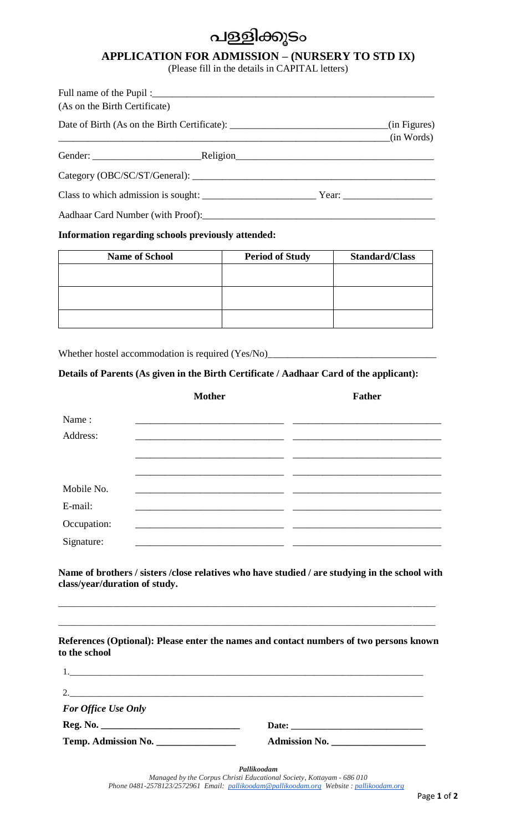## പള്ളിക്കൂടം

## **APPLICATION FOR ADMISSION – (NURSERY TO STD IX)**

(Please fill in the details in CAPITAL letters)

| (As on the Birth Certificate)                                                                |            |  |
|----------------------------------------------------------------------------------------------|------------|--|
| Date of Birth (As on the Birth Certificate): ___________________________________(in Figures) | (in Words) |  |
|                                                                                              |            |  |
|                                                                                              |            |  |
| Class to which admission is sought: Year: Year:                                              |            |  |
| $\mathbf{A}$ is the set of $\mathbf{A}$ in the set of $\mathbf{A}$                           |            |  |

Aadhaar Card Number (with Proof):

#### **Information regarding schools previously attended:**

| <b>Name of School</b> | <b>Period of Study</b> | <b>Standard/Class</b> |
|-----------------------|------------------------|-----------------------|
|                       |                        |                       |
|                       |                        |                       |
|                       |                        |                       |
|                       |                        |                       |
|                       |                        |                       |

Whether hostel accommodation is required (Yes/No)\_\_\_\_\_\_\_\_\_\_\_\_\_\_\_\_\_\_\_\_\_\_\_\_\_\_\_\_\_\_\_

### **Details of Parents (As given in the Birth Certificate / Aadhaar Card of the applicant):**

|             | <b>Mother</b> | <b>Father</b> |
|-------------|---------------|---------------|
| Name:       |               |               |
| Address:    |               |               |
|             |               |               |
|             |               |               |
| Mobile No.  |               |               |
| E-mail:     |               |               |
| Occupation: |               |               |
| Signature:  |               |               |

**Name of brothers / sisters /close relatives who have studied / are studying in the school with class/year/duration of study.**

\_\_\_\_\_\_\_\_\_\_\_\_\_\_\_\_\_\_\_\_\_\_\_\_\_\_\_\_\_\_\_\_\_\_\_\_\_\_\_\_\_\_\_\_\_\_\_\_\_\_\_\_\_\_\_\_\_\_\_\_\_\_\_\_\_\_\_\_\_\_\_\_\_\_\_\_\_\_\_\_\_\_\_

| to the school              | References (Optional): Please enter the names and contact numbers of two persons known |
|----------------------------|----------------------------------------------------------------------------------------|
|                            |                                                                                        |
|                            |                                                                                        |
| <b>For Office Use Only</b> |                                                                                        |
|                            |                                                                                        |
| Temp. Admission No.        | Admission No.                                                                          |

*Pallikoodam*

*Managed by the Corpus Christi Educational Society*, *Kottayam - 686 010 Phone 0481-2578123/2572961 Email: [pallikoodam@pallikoodam.org](mailto:pallikoodam@pallikoodam.org) Website : [pallikoodam.org](http://ec2-52-26-194-35.us-west-2.compute.amazonaws.com/x/d?c=13078318&l=8da31e1d-630b-423e-bfa2-001b66a09e94&r=84dbeb72-97de-48f1-9842-b777ae8364b4)*